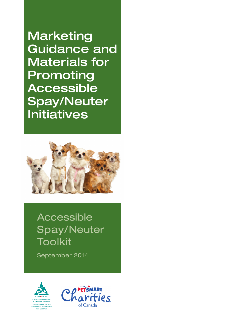**Initiatives Marketing** Guidance and Materials for Promoting Accessible Spay/Neuter



 $\mathcal{A}(\mathcal{A})$ 

Accessible Spay/Neuter Toolkit

September 2014



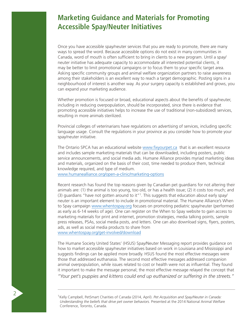## **Marketing Guidance and Materials for Promoting Accessible Spay/Neuter Initiatives**

Once you have accessible spay/neuter services that you are ready to promote, there are many ways to spread the word. Because accessible options do not exist in many communities in Canada, word of mouth is often sufficient to bring in clients to a new program. Until a spay/ neuter initiative has adequate capacity to accommodate all interested potential clients, it may be better to limit promotional campaigns or to focus them to your specific target area. Asking specific community groups and animal welfare organization partners to raise awareness among their stakeholders is an excellent way to reach a target demographic. Posting signs in a neighbourhood of interest is another way. As your surgery capacity is established and grows, you can expand your marketing audience.

Whether promotion is focused or broad, educational aspects about the benefits of spay/neuter, including in reducing overpopulation, should be incorporated, since there is evidence that promoting accessible initiatives helps to increase the use of traditional (non-subsidized) services, resulting in more animals sterilized.

Provincial colleges of veterinarians have regulations on advertising of services, including specific language usage. Consult the regulations in your province as you consider how to promote your spay/neuter initiative.

The Ontario SPCA has an educational website www[.fixyourpet.ca](http://fixyourpet.ca/) that is an excellent resource and includes sample marketing materials that can be downloaded, including posters, public service announcements, and social media ads. Humane Alliance provides myriad marketing ideas and materials, organized on the basis of their cost, time needed to produce them, technical knowledge required, and type of medium.

www[.humanealliance.org/open-a-clinic/marketing-options](http://humanealliance.org/open-a-clinic/marketing-options)

Recent research has found the top reasons given by Canadian pet guardians for not altering their animals are: (1) the animal is too young, too old, or has a health issue; (2) it costs too much; and (3) guardians "have not gotten around to it"<sup>1</sup>. This suggests that education about early spay/ neuter is an important element to include in promotional material. The Humane Alliance's When to Spay campaign www[.whentospay.org](http://whentospay.org/) focuses on promoting pediatric spay/neuter (performed as early as 6-14 weeks of age). One can register on the When to Spay website to gain access to marketing materials for print and internet, promotion strategies, media talking points, sample press releases, PSAs, social media posts, and letters. One can also download signs, flyers, posters, ads, as well as social media products to share from www[.whentospay.org/get-involved/download](http://whentospay.org/get-involved/download)

The Humane Society United States' (HSUS) Spay/Neuter Messaging report provides guidance on how to market accessible spay/neuter initiatives based on work in Louisiana and Mississippi and suggests findings can be applied more broadly. HSUS found the most effective messages were those that addressed euthanasia. The second most effective messages addressed companion animal overpopulation, while issues related to cost or health were not as influential. They found it important to make the message personal; the most effective message relayed the concept that

*"Your pet's puppies and kittens could end up euthanized or suffering in the streets."*